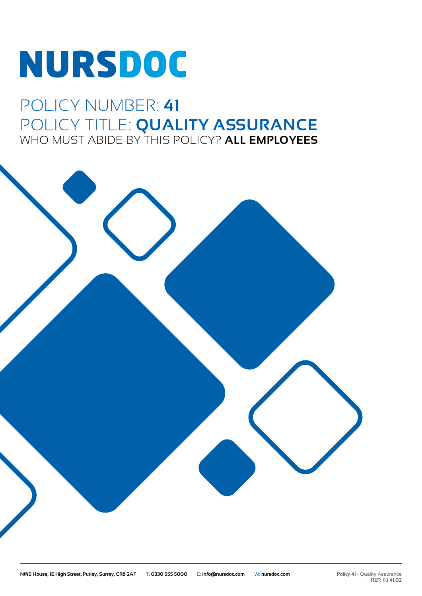# NURSDOC

### POLICY NUMBER: **41** POLICY TITLE: **QUALITY ASSURANCE** WHO MUST ABIDE BY THIS POLICY? **ALL EMPLOYEES**